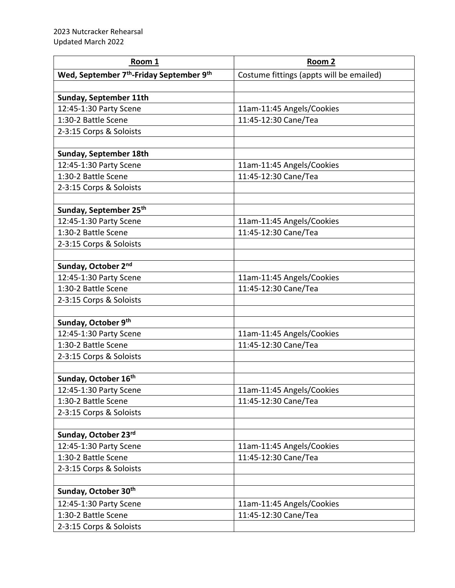| Room 1                                                           | Room 2                                   |
|------------------------------------------------------------------|------------------------------------------|
| Wed, September 7 <sup>th</sup> -Friday September 9 <sup>th</sup> | Costume fittings (appts will be emailed) |
|                                                                  |                                          |
| Sunday, September 11th                                           |                                          |
| 12:45-1:30 Party Scene                                           | 11am-11:45 Angels/Cookies                |
| 1:30-2 Battle Scene                                              | 11:45-12:30 Cane/Tea                     |
| 2-3:15 Corps & Soloists                                          |                                          |
|                                                                  |                                          |
| Sunday, September 18th                                           |                                          |
| 12:45-1:30 Party Scene                                           | 11am-11:45 Angels/Cookies                |
| 1:30-2 Battle Scene                                              | 11:45-12:30 Cane/Tea                     |
| 2-3:15 Corps & Soloists                                          |                                          |
|                                                                  |                                          |
| Sunday, September 25th                                           |                                          |
| 12:45-1:30 Party Scene                                           | 11am-11:45 Angels/Cookies                |
| 1:30-2 Battle Scene                                              | 11:45-12:30 Cane/Tea                     |
| 2-3:15 Corps & Soloists                                          |                                          |
|                                                                  |                                          |
| Sunday, October 2nd                                              |                                          |
| 12:45-1:30 Party Scene                                           | 11am-11:45 Angels/Cookies                |
| 1:30-2 Battle Scene                                              | 11:45-12:30 Cane/Tea                     |
| 2-3:15 Corps & Soloists                                          |                                          |
|                                                                  |                                          |
| Sunday, October 9th                                              |                                          |
| 12:45-1:30 Party Scene                                           | 11am-11:45 Angels/Cookies                |
| 1:30-2 Battle Scene                                              | 11:45-12:30 Cane/Tea                     |
| 2-3:15 Corps & Soloists                                          |                                          |
|                                                                  |                                          |
| Sunday, October 16th                                             |                                          |
| 12:45-1:30 Party Scene                                           | 11am-11:45 Angels/Cookies                |
| 1:30-2 Battle Scene                                              | 11:45-12:30 Cane/Tea                     |
| 2-3:15 Corps & Soloists                                          |                                          |
|                                                                  |                                          |
| Sunday, October 23rd                                             |                                          |
| 12:45-1:30 Party Scene<br>1:30-2 Battle Scene                    | 11am-11:45 Angels/Cookies                |
|                                                                  | 11:45-12:30 Cane/Tea                     |
| 2-3:15 Corps & Soloists                                          |                                          |
|                                                                  |                                          |
| Sunday, October 30th                                             |                                          |
| 12:45-1:30 Party Scene                                           | 11am-11:45 Angels/Cookies                |
| 1:30-2 Battle Scene                                              | 11:45-12:30 Cane/Tea                     |
| 2-3:15 Corps & Soloists                                          |                                          |